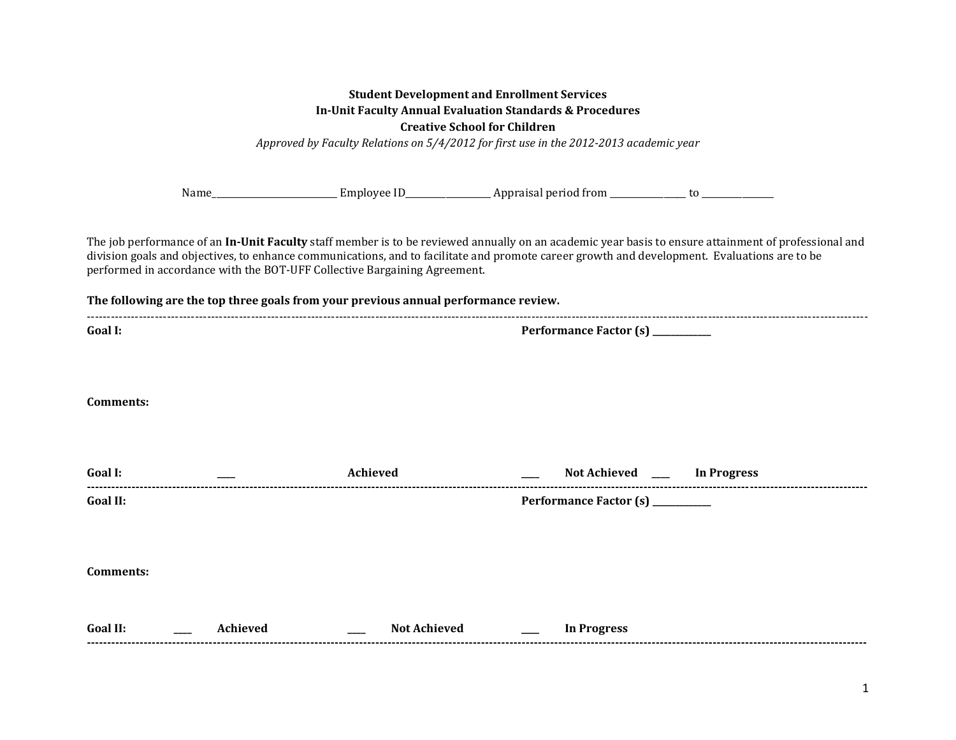| <b>Student Development and Enrollment Services</b><br><b>In-Unit Faculty Annual Evaluation Standards &amp; Procedures</b><br><b>Creative School for Children</b><br>Approved by Faculty Relations on 5/4/2012 for first use in the 2012-2013 academic year |          |                                                                                     |                                                                                                                                                                                                                                                                                                      |  |
|------------------------------------------------------------------------------------------------------------------------------------------------------------------------------------------------------------------------------------------------------------|----------|-------------------------------------------------------------------------------------|------------------------------------------------------------------------------------------------------------------------------------------------------------------------------------------------------------------------------------------------------------------------------------------------------|--|
|                                                                                                                                                                                                                                                            |          |                                                                                     |                                                                                                                                                                                                                                                                                                      |  |
|                                                                                                                                                                                                                                                            |          | performed in accordance with the BOT-UFF Collective Bargaining Agreement.           | The job performance of an In-Unit Faculty staff member is to be reviewed annually on an academic year basis to ensure attainment of professional and<br>division goals and objectives, to enhance communications, and to facilitate and promote career growth and development. Evaluations are to be |  |
|                                                                                                                                                                                                                                                            |          | The following are the top three goals from your previous annual performance review. |                                                                                                                                                                                                                                                                                                      |  |
| Goal I:                                                                                                                                                                                                                                                    |          |                                                                                     | Performance Factor (s) _________                                                                                                                                                                                                                                                                     |  |
| Comments:                                                                                                                                                                                                                                                  |          |                                                                                     |                                                                                                                                                                                                                                                                                                      |  |
| Goal I:                                                                                                                                                                                                                                                    |          | Achieved                                                                            | Not Achieved ____ In Progress                                                                                                                                                                                                                                                                        |  |
| Goal II:                                                                                                                                                                                                                                                   |          |                                                                                     | Performance Factor (s) ________                                                                                                                                                                                                                                                                      |  |
| <b>Comments:</b>                                                                                                                                                                                                                                           |          |                                                                                     |                                                                                                                                                                                                                                                                                                      |  |
| Goal II:                                                                                                                                                                                                                                                   | Achieved | <b>Not Achieved</b>                                                                 | <b>In Progress</b>                                                                                                                                                                                                                                                                                   |  |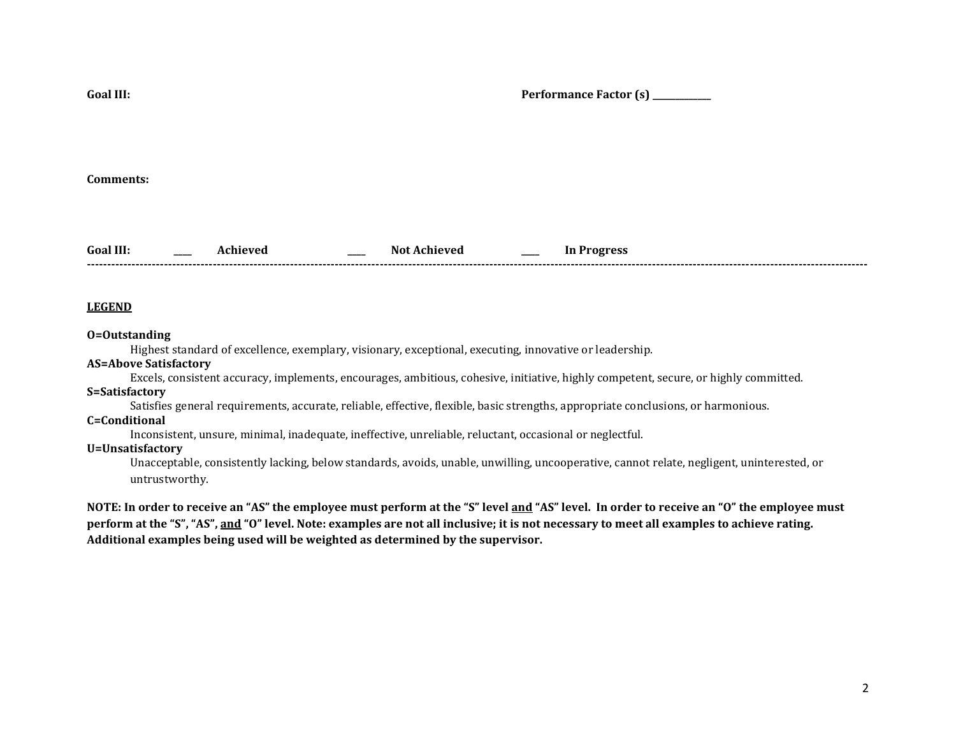**Goal III: Performance Factor (s) \_\_\_\_\_\_\_\_\_\_\_\_\_ Comments: Goal III: \_\_\_\_ Achieved \_\_\_\_ Not Achieved \_\_\_\_ In Progress** 

**------------------------------------------------------------------------------------------------------------------------------------------------------------------------------------------------**

### **LEGEND**

#### **O=Outstanding**

Highest standard of excellence, exemplary, visionary, exceptional, executing, innovative or leadership.

#### **AS=Above Satisfactory**

Excels, consistent accuracy, implements, encourages, ambitious, cohesive, initiative, highly competent, secure, or highly committed.

### **S=Satisfactory**

Satisfies general requirements, accurate, reliable, effective, flexible, basic strengths, appropriate conclusions, or harmonious.

# **C=Conditional**

Inconsistent, unsure, minimal, inadequate, ineffective, unreliable, reluctant, occasional or neglectful.

## **U=Unsatisfactory**

Unacceptable, consistently lacking, below standards, avoids, unable, unwilling, uncooperative, cannot relate, negligent, uninterested, or untrustworthy.

**NOTE: In order to receive an "AS" the employee must perform at the "S" level and "AS" level. In order to receive an "O" the employee must perform at the "S", "AS", and "O" level. Note: examples are not all inclusive; it is not necessary to meet all examples to achieve rating. Additional examples being used will be weighted as determined by the supervisor.**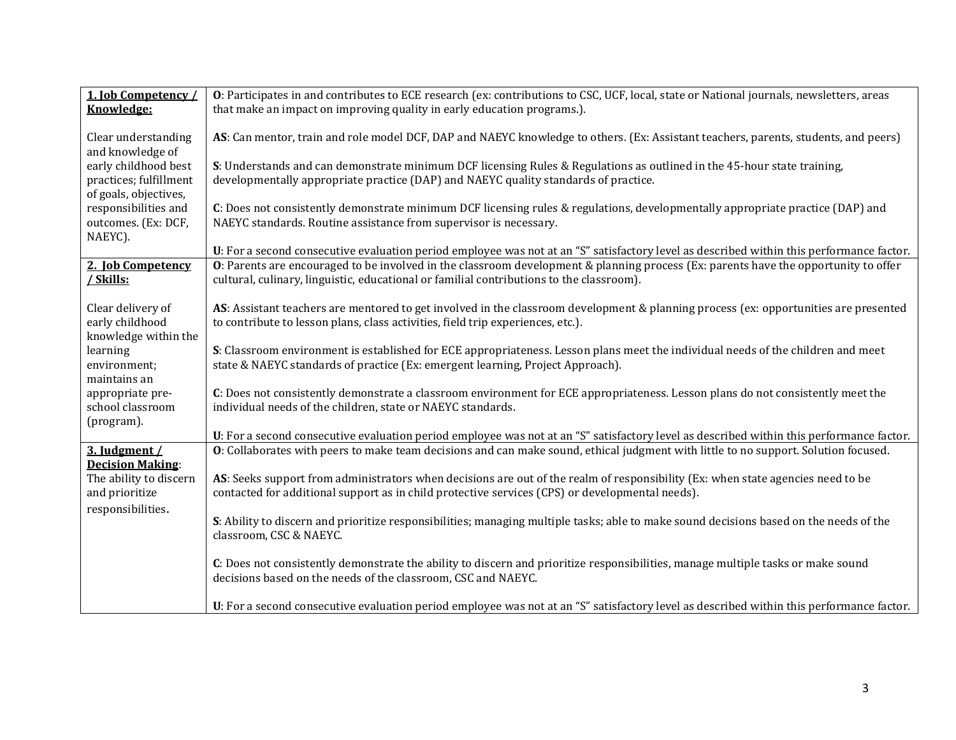| 1. Job Competency /<br>Knowledge:                                       | O: Participates in and contributes to ECE research (ex: contributions to CSC, UCF, local, state or National journals, newsletters, areas<br>that make an impact on improving quality in early education programs.).             |
|-------------------------------------------------------------------------|---------------------------------------------------------------------------------------------------------------------------------------------------------------------------------------------------------------------------------|
| Clear understanding<br>and knowledge of                                 | AS: Can mentor, train and role model DCF, DAP and NAEYC knowledge to others. (Ex: Assistant teachers, parents, students, and peers)                                                                                             |
| early childhood best<br>practices; fulfillment<br>of goals, objectives, | S: Understands and can demonstrate minimum DCF licensing Rules & Regulations as outlined in the 45-hour state training,<br>developmentally appropriate practice (DAP) and NAEYC quality standards of practice.                  |
| responsibilities and<br>outcomes. (Ex: DCF,<br>NAEYC).                  | C: Does not consistently demonstrate minimum DCF licensing rules & regulations, developmentally appropriate practice (DAP) and<br>NAEYC standards. Routine assistance from supervisor is necessary.                             |
|                                                                         | U: For a second consecutive evaluation period employee was not at an "S" satisfactory level as described within this performance factor.                                                                                        |
| 2. Job Competency<br>/ Skills:                                          | O: Parents are encouraged to be involved in the classroom development & planning process (Ex: parents have the opportunity to offer<br>cultural, culinary, linguistic, educational or familial contributions to the classroom). |
| Clear delivery of<br>early childhood<br>knowledge within the            | AS: Assistant teachers are mentored to get involved in the classroom development & planning process (ex: opportunities are presented<br>to contribute to lesson plans, class activities, field trip experiences, etc.).         |
| learning<br>environment;<br>maintains an                                | S: Classroom environment is established for ECE appropriateness. Lesson plans meet the individual needs of the children and meet<br>state & NAEYC standards of practice (Ex: emergent learning, Project Approach).              |
| appropriate pre-<br>school classroom<br>(program).                      | C: Does not consistently demonstrate a classroom environment for ECE appropriateness. Lesson plans do not consistently meet the<br>individual needs of the children, state or NAEYC standards.                                  |
|                                                                         | U: For a second consecutive evaluation period employee was not at an "S" satisfactory level as described within this performance factor.                                                                                        |
| 3. Judgment /<br><b>Decision Making:</b>                                | O: Collaborates with peers to make team decisions and can make sound, ethical judgment with little to no support. Solution focused.                                                                                             |
| The ability to discern                                                  | AS: Seeks support from administrators when decisions are out of the realm of responsibility (Ex: when state agencies need to be                                                                                                 |
| and prioritize                                                          | contacted for additional support as in child protective services (CPS) or developmental needs).                                                                                                                                 |
| responsibilities.                                                       |                                                                                                                                                                                                                                 |
|                                                                         | S: Ability to discern and prioritize responsibilities; managing multiple tasks; able to make sound decisions based on the needs of the<br>classroom, CSC & NAEYC.                                                               |
|                                                                         | C: Does not consistently demonstrate the ability to discern and prioritize responsibilities, manage multiple tasks or make sound<br>decisions based on the needs of the classroom, CSC and NAEYC.                               |
|                                                                         | U: For a second consecutive evaluation period employee was not at an "S" satisfactory level as described within this performance factor.                                                                                        |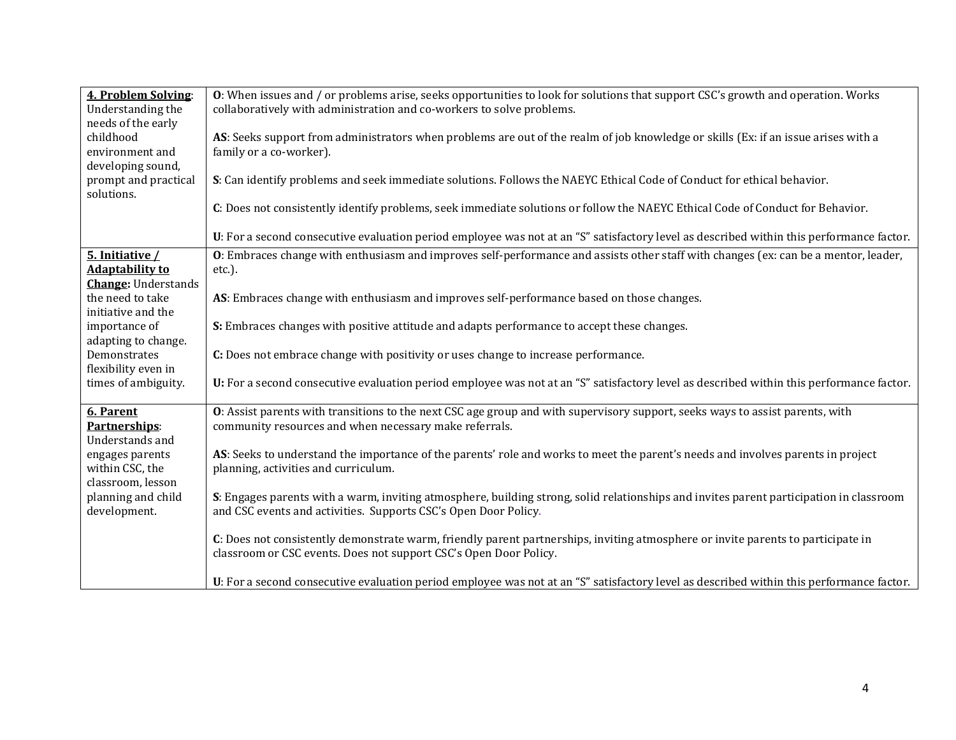| 4. Problem Solving:<br>Understanding the                                | <b>O</b> : When issues and / or problems arise, seeks opportunities to look for solutions that support CSC's growth and operation. Works<br>collaboratively with administration and co-workers to solve problems. |
|-------------------------------------------------------------------------|-------------------------------------------------------------------------------------------------------------------------------------------------------------------------------------------------------------------|
| needs of the early<br>childhood<br>environment and                      | AS: Seeks support from administrators when problems are out of the realm of job knowledge or skills (Ex: if an issue arises with a<br>family or a co-worker).                                                     |
| developing sound,<br>prompt and practical<br>solutions.                 | S: Can identify problems and seek immediate solutions. Follows the NAEYC Ethical Code of Conduct for ethical behavior.                                                                                            |
|                                                                         | C: Does not consistently identify problems, seek immediate solutions or follow the NAEYC Ethical Code of Conduct for Behavior.                                                                                    |
|                                                                         | U: For a second consecutive evaluation period employee was not at an "S" satisfactory level as described within this performance factor.                                                                          |
| 5. Initiative /<br><b>Adaptability to</b><br><b>Change:</b> Understands | O: Embraces change with enthusiasm and improves self-performance and assists other staff with changes (ex: can be a mentor, leader,<br>etc.).                                                                     |
| the need to take<br>initiative and the                                  | AS: Embraces change with enthusiasm and improves self-performance based on those changes.                                                                                                                         |
| importance of<br>adapting to change.                                    | S: Embraces changes with positive attitude and adapts performance to accept these changes.                                                                                                                        |
| Demonstrates<br>flexibility even in                                     | C: Does not embrace change with positivity or uses change to increase performance.                                                                                                                                |
| times of ambiguity.                                                     | U: For a second consecutive evaluation period employee was not at an "S" satisfactory level as described within this performance factor.                                                                          |
| 6. Parent<br>Partnerships:<br>Understands and                           | O: Assist parents with transitions to the next CSC age group and with supervisory support, seeks ways to assist parents, with<br>community resources and when necessary make referrals.                           |
| engages parents<br>within CSC, the<br>classroom, lesson                 | AS: Seeks to understand the importance of the parents' role and works to meet the parent's needs and involves parents in project<br>planning, activities and curriculum.                                          |
| planning and child<br>development.                                      | S: Engages parents with a warm, inviting atmosphere, building strong, solid relationships and invites parent participation in classroom<br>and CSC events and activities. Supports CSC's Open Door Policy.        |
|                                                                         | C: Does not consistently demonstrate warm, friendly parent partnerships, inviting atmosphere or invite parents to participate in<br>classroom or CSC events. Does not support CSC's Open Door Policy.             |
|                                                                         | U: For a second consecutive evaluation period employee was not at an "S" satisfactory level as described within this performance factor.                                                                          |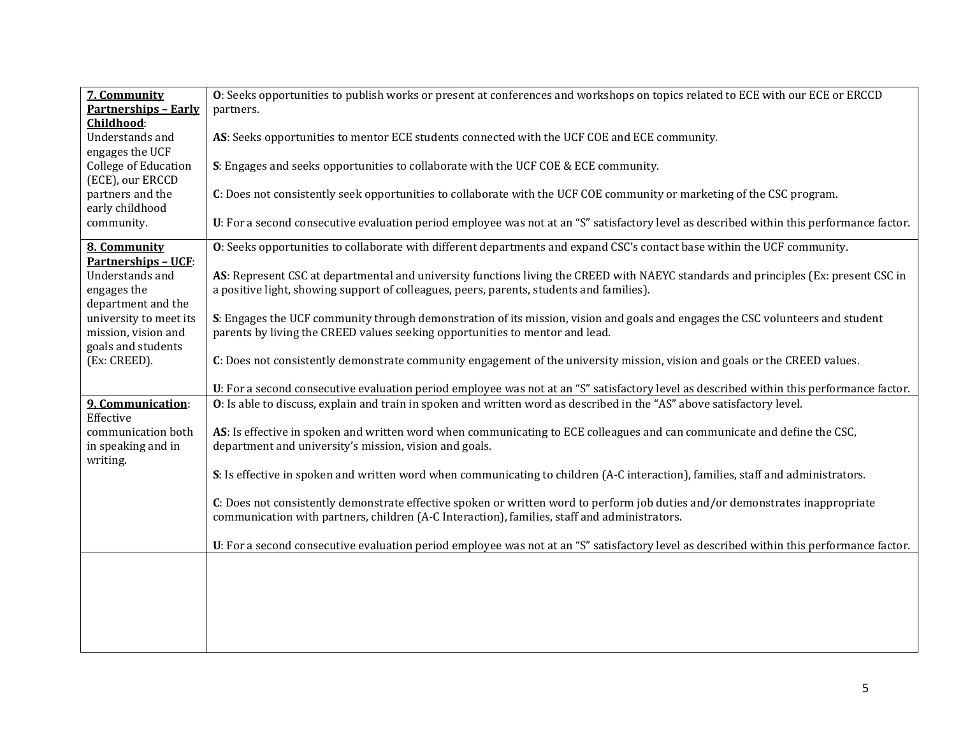| 7. Community                | O: Seeks opportunities to publish works or present at conferences and workshops on topics related to ECE with our ECE or ERCCD           |
|-----------------------------|------------------------------------------------------------------------------------------------------------------------------------------|
| <b>Partnerships - Early</b> | partners.                                                                                                                                |
| Childhood:                  |                                                                                                                                          |
| Understands and             | AS: Seeks opportunities to mentor ECE students connected with the UCF COE and ECE community.                                             |
| engages the UCF             |                                                                                                                                          |
| <b>College of Education</b> | S: Engages and seeks opportunities to collaborate with the UCF COE & ECE community.                                                      |
| (ECE), our ERCCD            |                                                                                                                                          |
| partners and the            | C: Does not consistently seek opportunities to collaborate with the UCF COE community or marketing of the CSC program.                   |
| early childhood             |                                                                                                                                          |
| community.                  | U: For a second consecutive evaluation period employee was not at an "S" satisfactory level as described within this performance factor. |
| 8. Community                | O: Seeks opportunities to collaborate with different departments and expand CSC's contact base within the UCF community.                 |
| <b>Partnerships - UCF:</b>  |                                                                                                                                          |
| Understands and             | AS: Represent CSC at departmental and university functions living the CREED with NAEYC standards and principles (Ex: present CSC in      |
| engages the                 | a positive light, showing support of colleagues, peers, parents, students and families).                                                 |
| department and the          |                                                                                                                                          |
| university to meet its      | S: Engages the UCF community through demonstration of its mission, vision and goals and engages the CSC volunteers and student           |
| mission, vision and         | parents by living the CREED values seeking opportunities to mentor and lead.                                                             |
| goals and students          |                                                                                                                                          |
| (Ex: CREED).                | C: Does not consistently demonstrate community engagement of the university mission, vision and goals or the CREED values.               |
|                             | U: For a second consecutive evaluation period employee was not at an "S" satisfactory level as described within this performance factor. |
| 9. Communication:           | O: Is able to discuss, explain and train in spoken and written word as described in the "AS" above satisfactory level.                   |
| Effective                   |                                                                                                                                          |
| communication both          | AS: Is effective in spoken and written word when communicating to ECE colleagues and can communicate and define the CSC,                 |
| in speaking and in          | department and university's mission, vision and goals.                                                                                   |
| writing.                    |                                                                                                                                          |
|                             | S: Is effective in spoken and written word when communicating to children (A-C interaction), families, staff and administrators.         |
|                             | C: Does not consistently demonstrate effective spoken or written word to perform job duties and/or demonstrates inappropriate            |
|                             | communication with partners, children (A-C Interaction), families, staff and administrators.                                             |
|                             |                                                                                                                                          |
|                             | U: For a second consecutive evaluation period employee was not at an "S" satisfactory level as described within this performance factor. |
|                             |                                                                                                                                          |
|                             |                                                                                                                                          |
|                             |                                                                                                                                          |
|                             |                                                                                                                                          |
|                             |                                                                                                                                          |
|                             |                                                                                                                                          |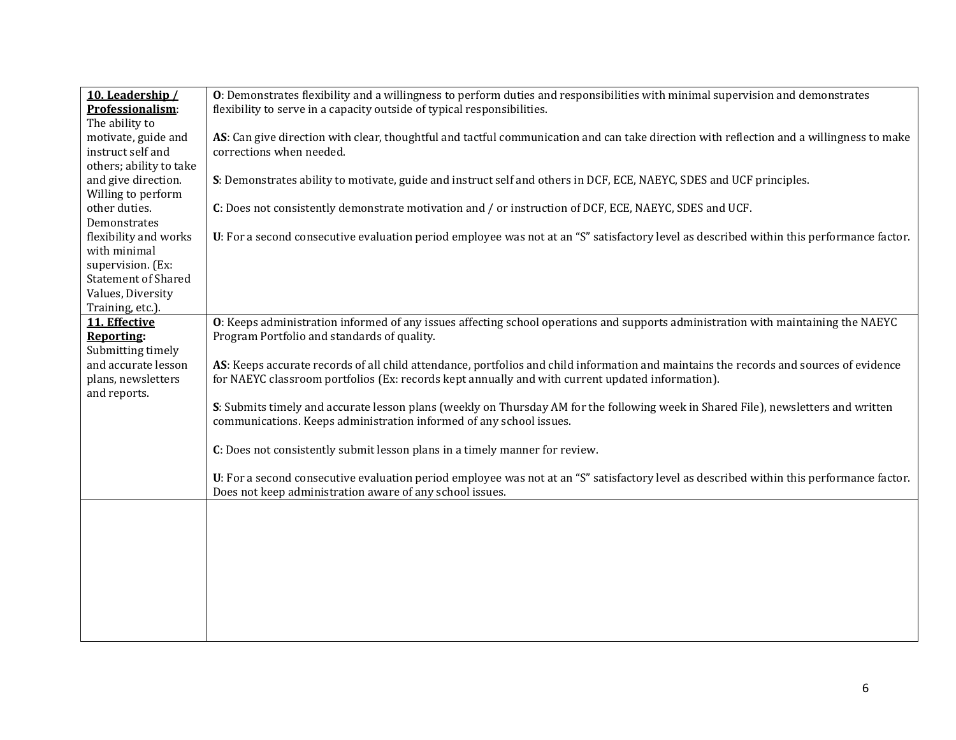| 10. Leadership /           | O: Demonstrates flexibility and a willingness to perform duties and responsibilities with minimal supervision and demonstrates           |
|----------------------------|------------------------------------------------------------------------------------------------------------------------------------------|
| Professionalism:           | flexibility to serve in a capacity outside of typical responsibilities.                                                                  |
| The ability to             |                                                                                                                                          |
| motivate, guide and        | AS: Can give direction with clear, thoughtful and tactful communication and can take direction with reflection and a willingness to make |
| instruct self and          | corrections when needed.                                                                                                                 |
| others; ability to take    |                                                                                                                                          |
| and give direction.        | S: Demonstrates ability to motivate, guide and instruct self and others in DCF, ECE, NAEYC, SDES and UCF principles.                     |
| Willing to perform         |                                                                                                                                          |
| other duties.              | C: Does not consistently demonstrate motivation and / or instruction of DCF, ECE, NAEYC, SDES and UCF.                                   |
| Demonstrates               |                                                                                                                                          |
| flexibility and works      | U: For a second consecutive evaluation period employee was not at an "S" satisfactory level as described within this performance factor. |
| with minimal               |                                                                                                                                          |
| supervision. (Ex:          |                                                                                                                                          |
| <b>Statement of Shared</b> |                                                                                                                                          |
| Values, Diversity          |                                                                                                                                          |
| Training, etc.).           |                                                                                                                                          |
| 11. Effective              | O: Keeps administration informed of any issues affecting school operations and supports administration with maintaining the NAEYC        |
| <b>Reporting:</b>          | Program Portfolio and standards of quality.                                                                                              |
| Submitting timely          |                                                                                                                                          |
| and accurate lesson        | AS: Keeps accurate records of all child attendance, portfolios and child information and maintains the records and sources of evidence   |
| plans, newsletters         | for NAEYC classroom portfolios (Ex: records kept annually and with current updated information).                                         |
| and reports.               |                                                                                                                                          |
|                            | S: Submits timely and accurate lesson plans (weekly on Thursday AM for the following week in Shared File), newsletters and written       |
|                            | communications. Keeps administration informed of any school issues.                                                                      |
|                            |                                                                                                                                          |
|                            | C: Does not consistently submit lesson plans in a timely manner for review.                                                              |
|                            |                                                                                                                                          |
|                            | U: For a second consecutive evaluation period employee was not at an "S" satisfactory level as described within this performance factor. |
|                            | Does not keep administration aware of any school issues.                                                                                 |
|                            |                                                                                                                                          |
|                            |                                                                                                                                          |
|                            |                                                                                                                                          |
|                            |                                                                                                                                          |
|                            |                                                                                                                                          |
|                            |                                                                                                                                          |
|                            |                                                                                                                                          |
|                            |                                                                                                                                          |
|                            |                                                                                                                                          |
|                            |                                                                                                                                          |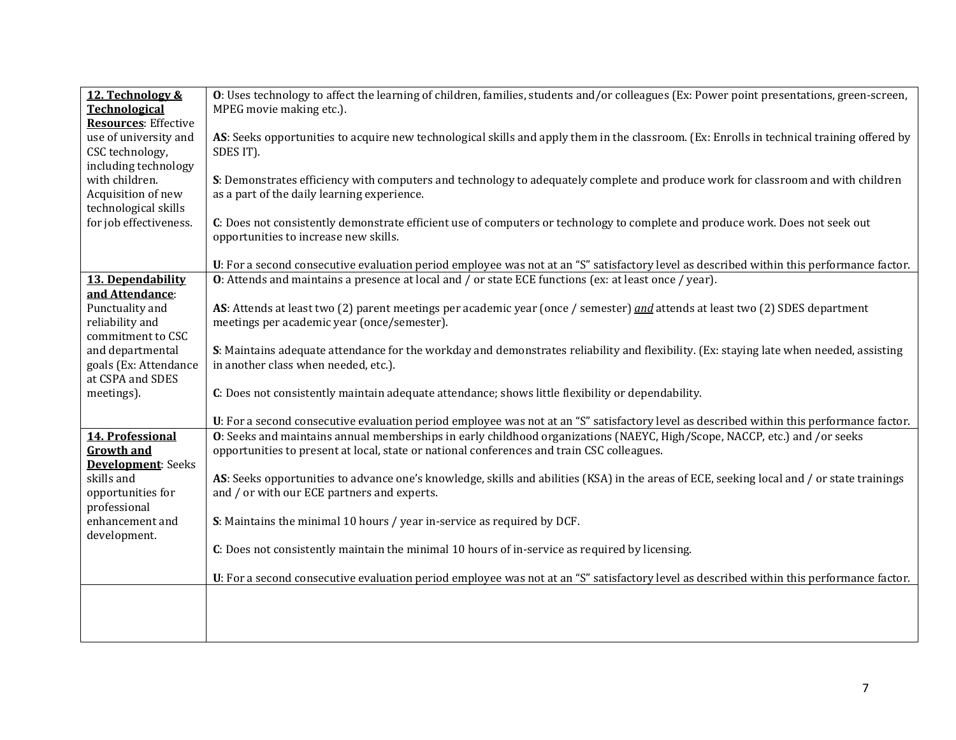| 12. Technology &<br><b>Technological</b> | O: Uses technology to affect the learning of children, families, students and/or colleagues (Ex: Power point presentations, green-screen,<br>MPEG movie making etc.).                                                   |
|------------------------------------------|-------------------------------------------------------------------------------------------------------------------------------------------------------------------------------------------------------------------------|
| <b>Resources:</b> Effective              |                                                                                                                                                                                                                         |
| use of university and<br>CSC technology, | AS: Seeks opportunities to acquire new technological skills and apply them in the classroom. (Ex: Enrolls in technical training offered by<br>SDES IT).                                                                 |
| including technology                     |                                                                                                                                                                                                                         |
| with children.<br>Acquisition of new     | S: Demonstrates efficiency with computers and technology to adequately complete and produce work for classroom and with children<br>as a part of the daily learning experience.                                         |
| technological skills                     |                                                                                                                                                                                                                         |
| for job effectiveness.                   | C: Does not consistently demonstrate efficient use of computers or technology to complete and produce work. Does not seek out<br>opportunities to increase new skills.                                                  |
|                                          | U: For a second consecutive evaluation period employee was not at an "S" satisfactory level as described within this performance factor.                                                                                |
| 13. Dependability                        | <b>O</b> : Attends and maintains a presence at local and / or state ECE functions (ex: at least once / year).                                                                                                           |
| and Attendance:<br>Punctuality and       | AS: Attends at least two (2) parent meetings per academic year (once / semester) and attends at least two (2) SDES department                                                                                           |
| reliability and                          | meetings per academic year (once/semester).                                                                                                                                                                             |
| commitment to CSC<br>and departmental    | S: Maintains adequate attendance for the workday and demonstrates reliability and flexibility. (Ex: staying late when needed, assisting                                                                                 |
| goals (Ex: Attendance                    | in another class when needed, etc.).                                                                                                                                                                                    |
| at CSPA and SDES                         |                                                                                                                                                                                                                         |
| meetings).                               | C: Does not consistently maintain adequate attendance; shows little flexibility or dependability.                                                                                                                       |
|                                          | U: For a second consecutive evaluation period employee was not at an "S" satisfactory level as described within this performance factor.                                                                                |
| 14. Professional<br><b>Growth and</b>    | O: Seeks and maintains annual memberships in early childhood organizations (NAEYC, High/Scope, NACCP, etc.) and /or seeks<br>opportunities to present at local, state or national conferences and train CSC colleagues. |
| <b>Development:</b> Seeks<br>skills and  | AS: Seeks opportunities to advance one's knowledge, skills and abilities (KSA) in the areas of ECE, seeking local and / or state trainings                                                                              |
| opportunities for                        | and / or with our ECE partners and experts.                                                                                                                                                                             |
| professional<br>enhancement and          | S: Maintains the minimal 10 hours / year in-service as required by DCF.                                                                                                                                                 |
| development.                             |                                                                                                                                                                                                                         |
|                                          | C: Does not consistently maintain the minimal 10 hours of in-service as required by licensing.                                                                                                                          |
|                                          | U: For a second consecutive evaluation period employee was not at an "S" satisfactory level as described within this performance factor.                                                                                |
|                                          |                                                                                                                                                                                                                         |
|                                          |                                                                                                                                                                                                                         |
|                                          |                                                                                                                                                                                                                         |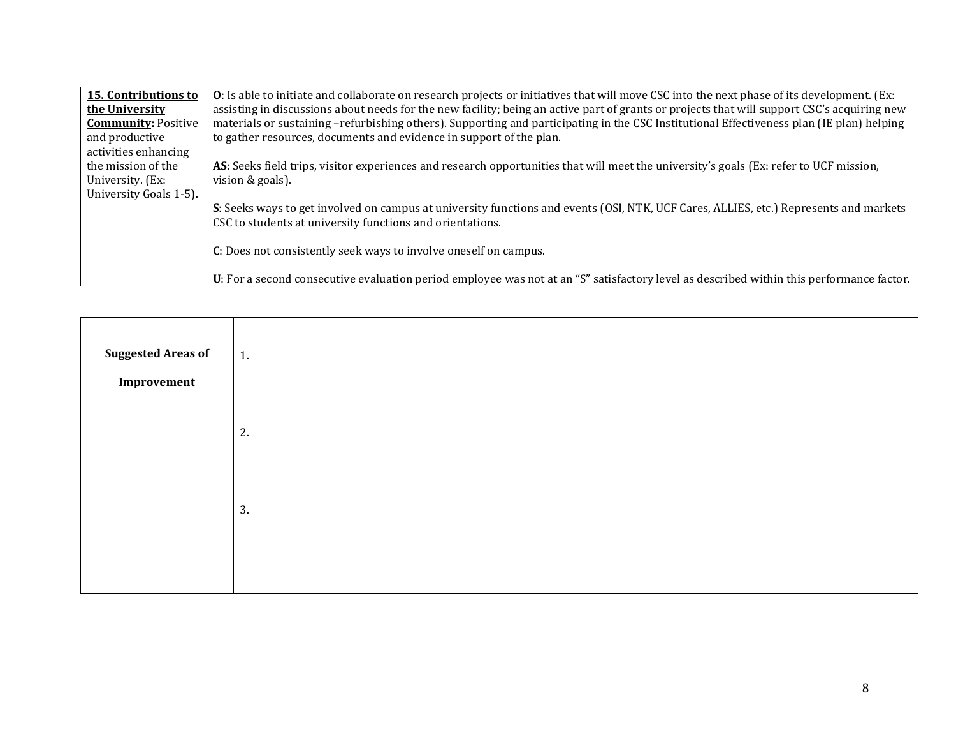| 15. Contributions to       | <b>O</b> : Is able to initiate and collaborate on research projects or initiatives that will move CSC into the next phase of its development. (Ex: |
|----------------------------|----------------------------------------------------------------------------------------------------------------------------------------------------|
| the University             | assisting in discussions about needs for the new facility; being an active part of grants or projects that will support CSC's acquiring new        |
| <b>Community: Positive</b> | materials or sustaining -refurbishing others). Supporting and participating in the CSC Institutional Effectiveness plan (IE plan) helping          |
| and productive             | to gather resources, documents and evidence in support of the plan.                                                                                |
| activities enhancing       |                                                                                                                                                    |
| the mission of the         | AS: Seeks field trips, visitor experiences and research opportunities that will meet the university's goals (Ex: refer to UCF mission,             |
| University. (Ex:           | vision & goals).                                                                                                                                   |
| University Goals 1-5).     |                                                                                                                                                    |
|                            | S: Seeks ways to get involved on campus at university functions and events (OSI, NTK, UCF Cares, ALLIES, etc.) Represents and markets              |
|                            | CSC to students at university functions and orientations.                                                                                          |
|                            |                                                                                                                                                    |
|                            | C: Does not consistently seek ways to involve oneself on campus.                                                                                   |
|                            |                                                                                                                                                    |
|                            | U: For a second consecutive evaluation period employee was not at an "S" satisfactory level as described within this performance factor.           |

| <b>Suggested Areas of</b><br>Improvement | 1. |
|------------------------------------------|----|
|                                          | 2. |
|                                          | 3. |
|                                          |    |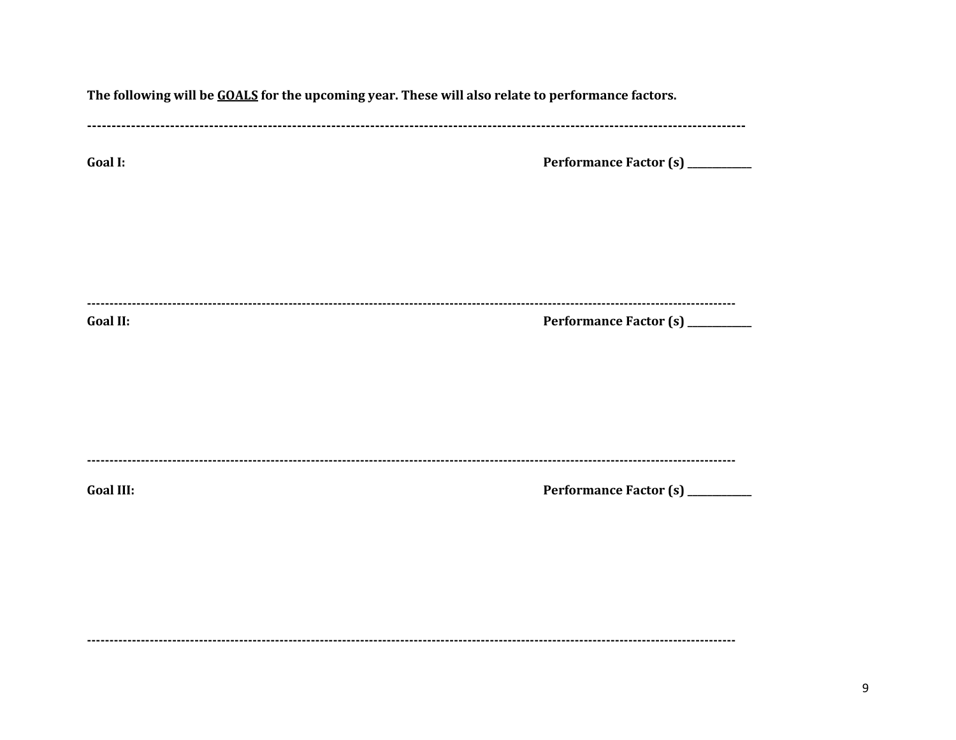| The following will be GOALS for the upcoming year. These will also relate to performance factors. |                                  |  |
|---------------------------------------------------------------------------------------------------|----------------------------------|--|
| <b>Goal I:</b>                                                                                    | Performance Factor (s) _________ |  |
|                                                                                                   |                                  |  |
| <b>Goal II:</b>                                                                                   | Performance Factor (s) _________ |  |
|                                                                                                   |                                  |  |
| <b>Goal III:</b>                                                                                  | Performance Factor (s) _________ |  |
|                                                                                                   |                                  |  |
|                                                                                                   |                                  |  |